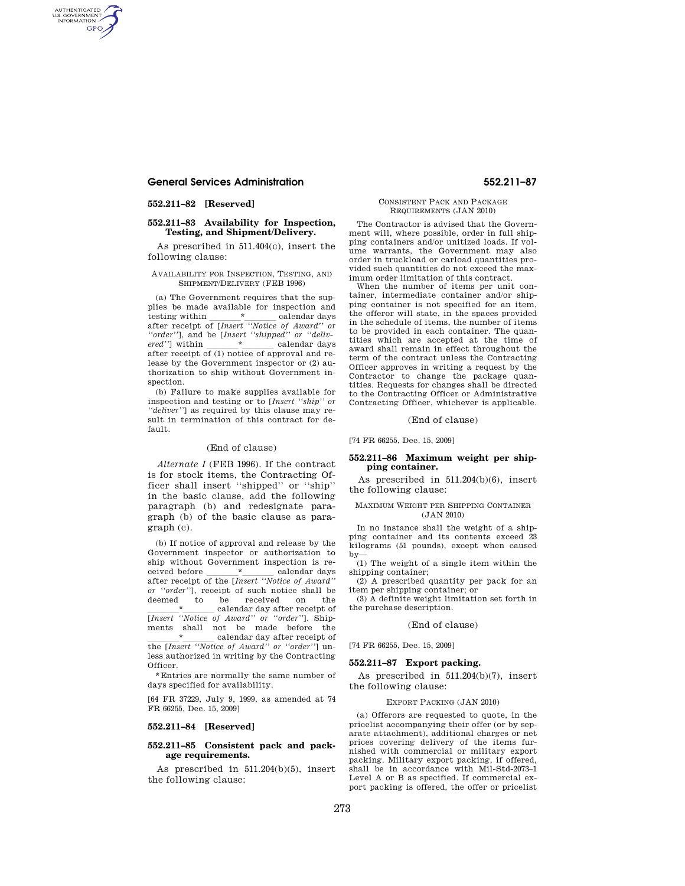# **General Services Administration 552.211–87**

# **552.211–82 [Reserved]**

AUTHENTICATED<br>U.S. GOVERNMENT<br>INFORMATION **GPO** 

# **552.211–83 Availability for Inspection, Testing, and Shipment/Delivery.**

As prescribed in 511.404(c), insert the following clause:

#### AVAILABILITY FOR INSPECTION, TESTING, AND SHIPMENT/DELIVERY (FEB 1996)

(a) The Government requires that the supplies be made available for inspection and<br>testing within \* calendar days testing within  $\frac{*}{\sqrt{2\pi}}$  calendar days after receipt of *[Insert ''Notice of Award'' or ''order''*], and be [*Insert ''shipped'' or ''delivered''*] within llll\*llll calendar days after receipt of (1) notice of approval and release by the Government inspector or (2) authorization to ship without Government inspection.

(b) Failure to make supplies available for inspection and testing or to [*Insert ''ship'' or ''deliver''*] as required by this clause may result in termination of this contract for default.

# (End of clause)

*Alternate I* (FEB 1996). If the contract is for stock items, the Contracting Officer shall insert ''shipped'' or ''ship'' in the basic clause, add the following paragraph (b) and redesignate paragraph (b) of the basic clause as paragraph (c).

(b) If notice of approval and release by the Government inspector or authorization to ship without Government inspection is received before <u> $*$  calendar days</u> after receipt of the [*Insert ''Notice of Award'' or ''order''*], receipt of such notice shall be deemed to be received on the<br>  $\star$  calendar day after receipt of <sup>\*</sup>*Motice of Award'' or ''order''*]. Shipments shall not be made before the  $\stackrel{*}{\text{the [Insert 'Notice of Award' or 'order'] un-}}$ less authorized in writing by the Contracting Officer.

\*Entries are normally the same number of days specified for availability.

[64 FR 37229, July 9, 1999, as amended at 74 FR 66255, Dec. 15, 2009]

# **552.211–84 [Reserved]**

## **552.211–85 Consistent pack and package requirements.**

As prescribed in 511.204(b)(5), insert the following clause:

#### CONSISTENT PACK AND PACKAGE REQUIREMENTS (JAN 2010)

The Contractor is advised that the Government will, where possible, order in full shipping containers and/or unitized loads. If volume warrants, the Government may also order in truckload or carload quantities provided such quantities do not exceed the maximum order limitation of this contract.

When the number of items per unit container, intermediate container and/or shipping container is not specified for an item, the offeror will state, in the spaces provided in the schedule of items, the number of items to be provided in each container. The quantities which are accepted at the time of award shall remain in effect throughout the term of the contract unless the Contracting Officer approves in writing a request by the Contractor to change the package quantities. Requests for changes shall be directed to the Contracting Officer or Administrative Contracting Officer, whichever is applicable.

# (End of clause)

[74 FR 66255, Dec. 15, 2009]

# **552.211–86 Maximum weight per shipping container.**

As prescribed in 511.204(b)(6), insert the following clause:

#### MAXIMUM WEIGHT PER SHIPPING CONTAINER  $($ JAN 2010)

In no instance shall the weight of a shipping container and its contents exceed 23 kilograms (51 pounds), except when caused by—

(1) The weight of a single item within the shipping container;

(2) A prescribed quantity per pack for an item per shipping container; or

(3) A definite weight limitation set forth in the purchase description.

# (End of clause)

[74 FR 66255, Dec. 15, 2009]

## **552.211–87 Export packing.**

As prescribed in 511.204(b)(7), insert the following clause:

## EXPORT PACKING (JAN 2010)

(a) Offerors are requested to quote, in the pricelist accompanying their offer (or by separate attachment), additional charges or net prices covering delivery of the items furnished with commercial or military export packing. Military export packing, if offered, shall be in accordance with Mil-Std-2073–1 Level A or B as specified. If commercial export packing is offered, the offer or pricelist